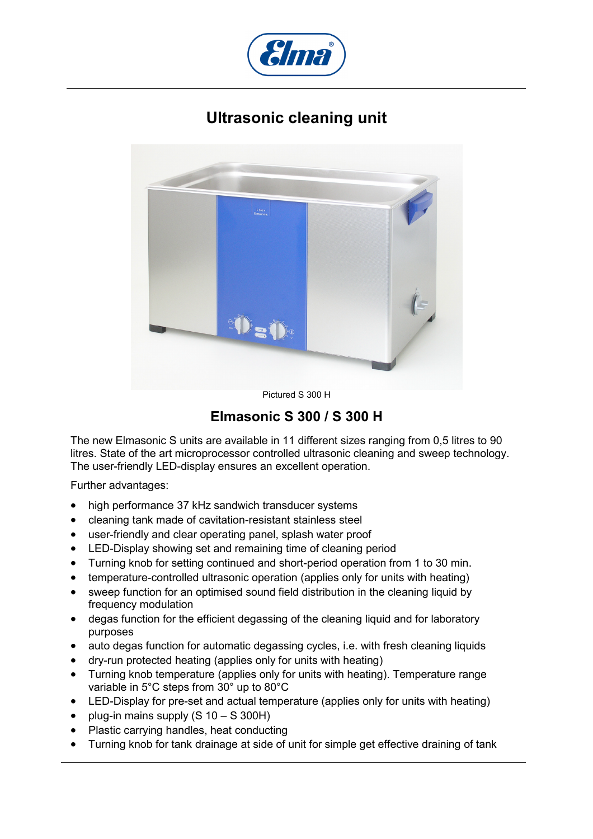

## **Ultrasonic cleaning unit**



Pictured S 300 H

## **Elmasonic S 300 / S 300 H**

The new Elmasonic S units are available in 11 different sizes ranging from 0,5 litres to 90 litres. State of the art microprocessor controlled ultrasonic cleaning and sweep technology. The user-friendly LED-display ensures an excellent operation.

Further advantages:

- high performance 37 kHz sandwich transducer systems
- cleaning tank made of cavitation-resistant stainless steel
- user-friendly and clear operating panel, splash water proof
- LED-Display showing set and remaining time of cleaning period
- Turning knob for setting continued and short-period operation from 1 to 30 min.
- temperature-controlled ultrasonic operation (applies only for units with heating)
- sweep function for an optimised sound field distribution in the cleaning liquid by frequency modulation
- degas function for the efficient degassing of the cleaning liquid and for laboratory purposes
- auto degas function for automatic degassing cycles, i.e. with fresh cleaning liquids
- dry-run protected heating (applies only for units with heating)
- Turning knob temperature (applies only for units with heating). Temperature range variable in 5°C steps from 30° up to 80°C
- LED-Display for pre-set and actual temperature (applies only for units with heating)
- plug-in mains supply (S 10 S 300H)
- Plastic carrying handles, heat conducting
- Turning knob for tank drainage at side of unit for simple get effective draining of tank